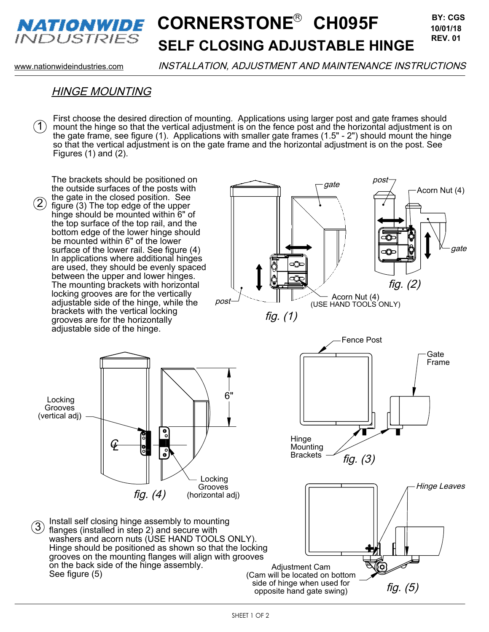

### **CORNERSTONE<sup>®</sup> CH095F BY: CGS SELF CLOSING ADJUSTABLE HINGE REV. 01**

www.nationwideindustries.com INSTALLATION, ADJUSTMENT AND MAINTENANCE INSTRUCTIONS

**BY: CGS**

#### HINGE MOUNTING

First choose the desired direction of mounting. Applications using larger post and gate frames should mount the hinge so that the vertical adjustment is on the fence post and the horizontal adjustment is on the gate frame, see figure (1). Applications with smaller gate frames (1.5" - 2") should mount the hinge so that the vertical adjustment is on the gate frame and the horizontal adjustment is on the post. See Figures (1) and (2).  $(1)$